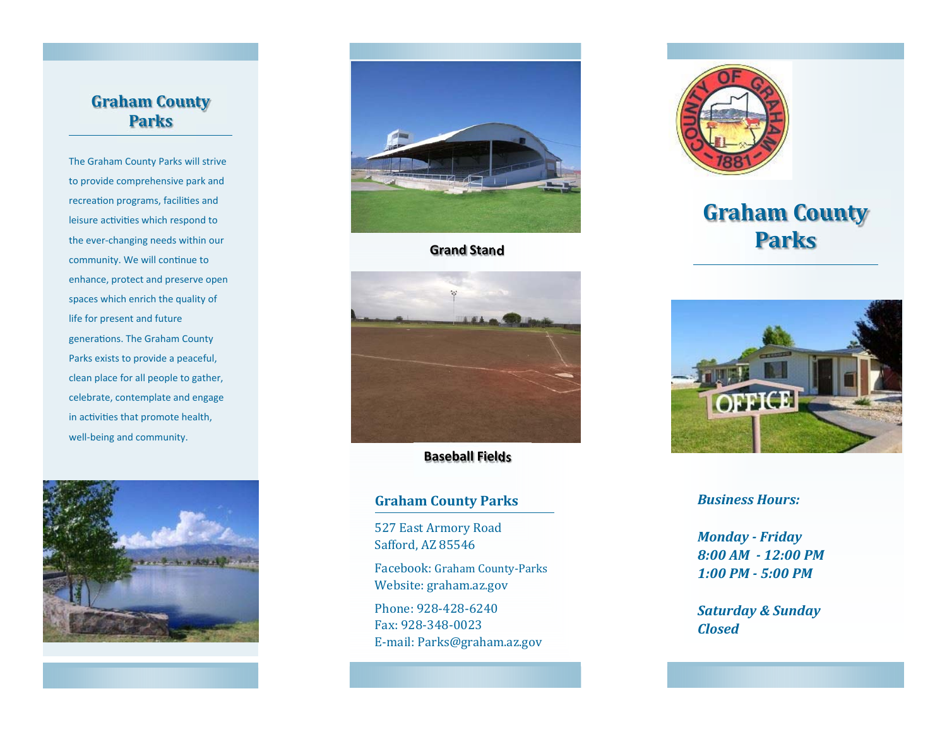## **Graham County Parks**

The Graham County Parks will strive to provide comprehensive park and recreation programs, facilities and leisure activities which respond to the ever‐changing needs within our community. We will continue to enhance, protect and preserve open spaces which enrich the quality of life for present and future generations. The Graham County Parks exists to provide a peaceful, clean place for all people to gather, celebrate, contemplate and engage in activities that promote health, well-being and community.





### **Grand Stand**



**Baseball Fields**

### **Graham County Parks**

527 East Armory Road Safford, AZ 85546

Facebook: Graham County-Parks Website: graham.az.gov

Phone: 928-428-6240 Fax: 928-348-0023 E-mail: Parks@graham.az.gov



# **Graham County Parks**



#### *Business Hours:*

*Monday ‐ Friday 8:00 AM ‐ 12:00 PM1:00 PM ‐ 5:00 PM*

*Saturday & Sunday Closed*